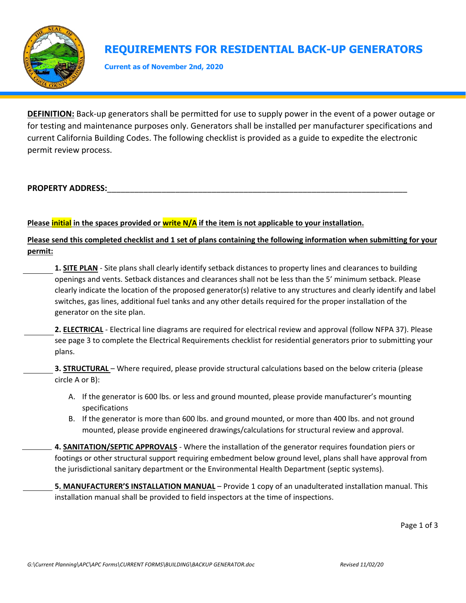

# **REQUIREMENTS FOR RESIDENTIAL BACK-UP GENERATORS**

**Current as of November 2nd, 2020**

**DEFINITION:** Back‐up generators shall be permitted for use to supply power in the event of a power outage or for testing and maintenance purposes only. Generators shall be installed per manufacturer specifications and current California Building Codes. The following checklist is provided as a guide to expedite the electronic permit review process.

### PROPERTY ADDRESS:

### Please **initial** in the spaces provided or write N/A if the item is not applicable to your installation.

**Please send this completed checklist and 1 set of plans containing the following information when submitting for your permit:** 

- **1. SITE PLAN** ‐ Site plans shall clearly identify setback distances to property lines and clearances to building openings and vents. Setback distances and clearances shall not be less than the 5' minimum setback. Please clearly indicate the location of the proposed generator(s) relative to any structures and clearly identify and label switches, gas lines, additional fuel tanks and any other details required for the proper installation of the generator on the site plan.
- 2. **ELECTRICAL** Electrical line diagrams are required for electrical review and approval (follow NFPA 37). Please see page 3 to complete the Electrical Requirements checklist for residential generators prior to submitting your plans.
- **3. STRUCTURAL** Where required, please provide structural calculations based on the below criteria (please circle A or B):
	- A. If the generator is 600 lbs. or less and ground mounted, please provide manufacturer's mounting specifications
	- B. If the generator is more than 600 lbs. and ground mounted, or more than 400 lbs. and not ground mounted, please provide engineered drawings/calculations for structural review and approval.
- **4. SANITATION/SEPTIC APPROVALS** ‐ Where the installation of the generator requires foundation piers or footings or other structural support requiring embedment below ground level, plans shall have approval from the jurisdictional sanitary department or the Environmental Health Department (septic systems).

**5. MANUFACTURER'S INSTALLATION MANUAL** – Provide 1 copy of an unadulterated installation manual. This installation manual shall be provided to field inspectors at the time of inspections.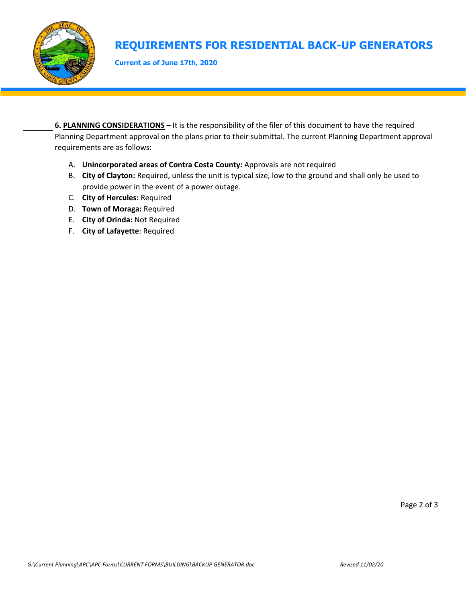

# **REQUIREMENTS FOR RESIDENTIAL BACK-UP GENERATORS**

**Current as of June 17th, 2020**

**6. PLANNING CONSIDERATIONS –** It is the responsibility of the filer of this document to have the required Planning Department approval on the plans prior to their submittal. The current Planning Department approval requirements are as follows:

- A. **Unincorporated areas of Contra Costa County:** Approvals are not required
- B. **City of Clayton:** Required, unless the unit is typical size, low to the ground and shall only be used to provide power in the event of a power outage.
- C. **City of Hercules:** Required
- D. **Town of Moraga:** Required
- E. **City of Orinda:** Not Required
- F. **City of Lafayette**: Required